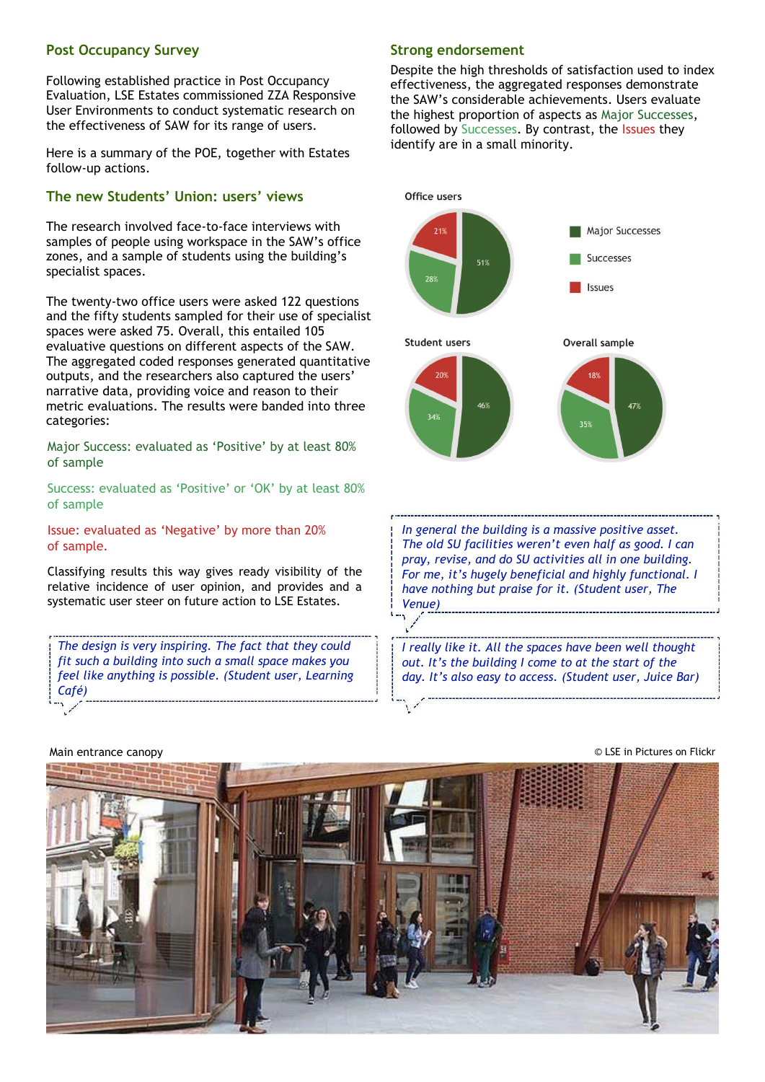## **Post Occupancy Survey**

Following established practice in Post Occupancy Evaluation, LSE Estates commissioned ZZA Responsive User Environments to conduct systematic research on the effectiveness of SAW for its range of users.

Here is a summary of the POE, together with Estates follow-up actions.

### **The new Students' Union: users' views**

The research involved face-to-face interviews with samples of people using workspace in the SAW's office zones, and a sample of students using the building's specialist spaces.

The twenty-two office users were asked 122 questions and the fifty students sampled for their use of specialist spaces were asked 75. Overall, this entailed 105 evaluative questions on different aspects of the SAW. The aggregated coded responses generated quantitative outputs, and the researchers also captured the users' narrative data, providing voice and reason to their metric evaluations. The results were banded into three categories:

Major Success: evaluated as 'Positive' by at least 80% of sample

Success: evaluated as 'Positive' or 'OK' by at least 80% of sample

Issue: evaluated as 'Negative' by more than 20% of sample.

Classifying results this way gives ready visibility of the relative incidence of user opinion, and provides and a systematic user steer on future action to LSE Estates.

*The design is very inspiring. The fact that they could fit such a building into such a small space makes you feel like anything is possible. (Student user, Learning Café)*

# **Strong endorsement**

Despite the high thresholds of satisfaction used to index effectiveness, the aggregated responses demonstrate the SAW's considerable achievements. Users evaluate the highest proportion of aspects as Major Successes, followed by Successes. By contrast, the Issues they identify are in a small minority.



*In general the building is a massive positive asset. The old SU facilities weren't even half as good. I can pray, revise, and do SU activities all in one building. For me, it's hugely beneficial and highly functional. I have nothing but praise for it. (Student user, The Venue)* 

*I really like it. All the spaces have been well thought out. It's the building I come to at the start of the day. It's also easy to access. (Student user, Juice Bar)*

# Main entrance canopy **Example 20** LSE in Pictures on Flickr